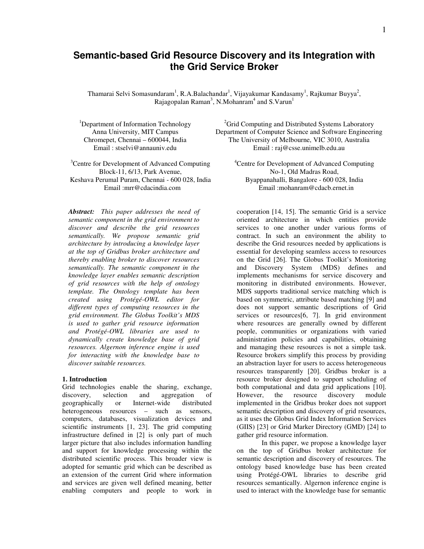# **Semantic-based Grid Resource Discovery and its Integration with the Grid Service Broker**

Thamarai Selvi Somasundaram<sup>1</sup>, R.A.Balachandar<sup>1</sup>, Vijayakumar Kandasamy<sup>1</sup>, Rajkumar Buyya<sup>2</sup>, Rajagopalan Raman<sup>3</sup>, N.Mohanram<sup>4</sup> and S.Varun<sup>1</sup>

<sup>1</sup>Department of Information Technology Anna University, MIT Campus Chromepet, Chennai – 600044, India Email : stselvi@annauniv.edu

<sup>3</sup>Centre for Development of Advanced Computing Block-11, 6/13, Park Avenue, Keshava Perumal Puram, Chennai - 600 028, India Email :mrr@cdacindia.com

*Abstract: This paper addresses the need of semantic component in the grid environment to discover and describe the grid resources semantically. We propose semantic grid architecture by introducing a knowledge layer at the top of Gridbus broker architecture and thereby enabling broker to discover resources semantically. The semantic component in the knowledge layer enables semantic description of grid resources with the help of ontology template. The Ontology template has been created using Protégé-OWL editor for different types of computing resources in the grid environment. The Globus Toolkit's MDS is used to gather grid resource information and Protégé-OWL libraries are used to dynamically create knowledge base of grid resources. Algernon inference engine is used for interacting with the knowledge base to discover suitable resources.* 

## **1. Introduction**

Grid technologies enable the sharing, exchange, discovery, selection and aggregation of geographically or Internet-wide distributed heterogeneous resources – such as sensors, computers, databases, visualization devices and scientific instruments [1, 23]. The grid computing infrastructure defined in [2] is only part of much larger picture that also includes information handling and support for knowledge processing within the distributed scientific process. This broader view is adopted for semantic grid which can be described as an extension of the current Grid where information and services are given well defined meaning, better enabling computers and people to work in

 ${}^{2}$ Grid Computing and Distributed Systems Laboratory Department of Computer Science and Software Engineering The University of Melbourne, VIC 3010, Australia Email : raj@csse.unimelb.edu.au

> <sup>4</sup>Centre for Development of Advanced Computing No-1, Old Madras Road, Byappanahalli, Bangalore - 600 028, India Email :mohanram@cdacb.ernet.in

cooperation [14, 15]. The semantic Grid is a service oriented architecture in which entities provide services to one another under various forms of contract. In such an environment the ability to describe the Grid resources needed by applications is essential for developing seamless access to resources on the Grid [26]. The Globus Toolkit's Monitoring and Discovery System (MDS) defines and implements mechanisms for service discovery and monitoring in distributed environments. However, MDS supports traditional service matching which is based on symmetric, attribute based matching [9] and does not support semantic descriptions of Grid services or resources<sup>[6, 7]</sup>. In grid environment where resources are generally owned by different people, communities or organizations with varied administration policies and capabilities, obtaining and managing these resources is not a simple task. Resource brokers simplify this process by providing an abstraction layer for users to access heterogeneous resources transparently [20]. Gridbus broker is a resource broker designed to support scheduling of both computational and data grid applications [10]. However, the resource discovery module implemented in the Gridbus broker does not support semantic description and discovery of grid resources, as it uses the Globus Grid Index Information Services (GIIS) [23] or Grid Marker Directory (GMD) [24] to gather grid resource information.

 In this paper, we propose a knowledge layer on the top of Gridbus broker architecture for semantic description and discovery of resources. The ontology based knowledge base has been created using Protégé-OWL libraries to describe grid resources semantically. Algernon inference engine is used to interact with the knowledge base for semantic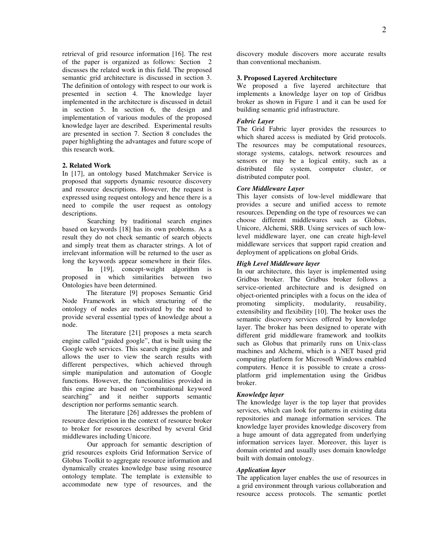retrieval of grid resource information [16]. The rest of the paper is organized as follows: Section 2 discusses the related work in this field. The proposed semantic grid architecture is discussed in section 3. The definition of ontology with respect to our work is presented in section 4. The knowledge layer implemented in the architecture is discussed in detail in section 5. In section 6, the design and implementation of various modules of the proposed knowledge layer are described. Experimental results are presented in section 7. Section 8 concludes the paper highlighting the advantages and future scope of this research work.

# **2. Related Work**

In [17], an ontology based Matchmaker Service is proposed that supports dynamic resource discovery and resource descriptions. However, the request is expressed using request ontology and hence there is a need to compile the user request as ontology descriptions.

 Searching by traditional search engines based on keywords [18] has its own problems. As a result they do not check semantic of search objects and simply treat them as character strings. A lot of irrelevant information will be returned to the user as long the keywords appear somewhere in their files.

 In [19], concept-weight algorithm is proposed in which similarities between two Ontologies have been determined.

 The literature [9] proposes Semantic Grid Node Framework in which structuring of the ontology of nodes are motivated by the need to provide several essential types of knowledge about a node.

 The literature [21] proposes a meta search engine called "guided google", that is built using the Google web services. This search engine guides and allows the user to view the search results with different perspectives, which achieved through simple manipulation and automation of Google functions. However, the functionalities provided in this engine are based on "combinational keyword searching" and it neither supports semantic description nor performs semantic search.

 The literature [26] addresses the problem of resource description in the context of resource broker to broker for resources described by several Grid middlewares including Unicore.

 Our approach for semantic description of grid resources exploits Grid Information Service of Globus Toolkit to aggregate resource information and dynamically creates knowledge base using resource ontology template. The template is extensible to accommodate new type of resources, and the

discovery module discovers more accurate results than conventional mechanism.

## **3. Proposed Layered Architecture**

We proposed a five layered architecture that implements a knowledge layer on top of Gridbus broker as shown in Figure 1 and it can be used for building semantic grid infrastructure.

# *Fabric Layer*

The Grid Fabric layer provides the resources to which shared access is mediated by Grid protocols. The resources may be computational resources, storage systems, catalogs, network resources and sensors or may be a logical entity, such as a distributed file system, computer cluster, or distributed computer pool.

## *Core Middleware Layer*

This layer consists of low-level middleware that provides a secure and unified access to remote resources. Depending on the type of resources we can choose different middlewares such as Globus, Unicore, Alchemi, SRB. Using services of such lowlevel middleware layer, one can create high-level middleware services that support rapid creation and deployment of applications on global Grids.

# *High Level Middleware layer*

In our architecture, this layer is implemented using Gridbus broker. The Gridbus broker follows a service-oriented architecture and is designed on object-oriented principles with a focus on the idea of promoting simplicity, modularity, reusability, extensibility and flexibility [10]. The broker uses the semantic discovery services offered by knowledge layer. The broker has been designed to operate with different grid middleware framework and toolkits such as Globus that primarily runs on Unix-class machines and Alchemi, which is a .NET based grid computing platform for Microsoft Windows enabled computers. Hence it is possible to create a crossplatform grid implementation using the Gridbus broker.

## *Knowledge layer*

The knowledge layer is the top layer that provides services, which can look for patterns in existing data repositories and manage information services. The knowledge layer provides knowledge discovery from a huge amount of data aggregated from underlying information services layer. Moreover, this layer is domain oriented and usually uses domain knowledge built with domain ontology.

## *Application layer*

The application layer enables the use of resources in a grid environment through various collaboration and resource access protocols. The semantic portlet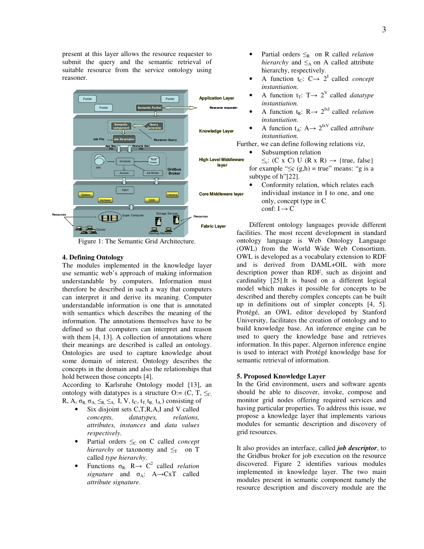present at this layer allows the resource requester to submit the query and the semantic retrieval of suitable resource from the service ontology using reasoner.



Figure 1: The Semantic Grid Architecture.

### **4. Defining Ontology**

The modules implemented in the knowledge layer use semantic web's approach of making information understandable by computers. Information must therefore be described in such a way that computers can interpret it and derive its meaning. Computer understandable information is one that is annotated with semantics which describes the meaning of the information. The annotations themselves have to be defined so that computers can interpret and reason with them [4, 13]. A collection of annotations where their meanings are described is called an ontology. Ontologies are used to capture knowledge about some domain of interest. Ontology describes the concepts in the domain and also the relationships that hold between those concepts [4].

According to Karlsruhe Ontology model [13], an ontology with datatypes is a structure O:=  $(C, T, \leq_C)$ R, A,  $\sigma_{R}$ ,  $\sigma_{A} \leq_{R} \leq_{A} I$ , V,  $t_C$ ,  $t_T$ ,  $t_R$ ,  $t_A$ ) consisting of

- Six disjoint sets C,T,R,A,I and V called *concepts, datatypes, relations, attributes, instances* and *data values respectively.*
- Partial orders  $\leq_C$  on C called *concept hierarchy* or taxonomy and  $\leq_T$  on T called *type hierarchy*.
- Functions  $\sigma_{R}$ : R $\rightarrow$  C<sup>2</sup> called *relation signature* and  $\sigma_A$ : A→CxT called *attribute signature*.
- Partial orders  $\leq_R$  on R called *relation hierarchy* and  $\leq_A$  on A called attribute hierarchy, respectively.
- A function  $t_C$ :  $C \rightarrow 2^I$  called *concept instantiation.*
- A function  $t_T$ : T $\rightarrow$  2<sup>V</sup> called *datatype instantiation.*
- A function  $t_R$ :  $R \rightarrow 2^{IxI}$  called *relation instantiation.*
- A function  $t_A$ : A  $\rightarrow$  2<sup>IxV</sup> called *attribute instantiation.*
- Further, we can define following relations viz,
	- Subsumption relation

 $\leq_c$ : (C x C) U (R x R) → {true, false} for example " $\leq c$  (g,h) = true" means: "g is a subtype of h"[22].

Conformity relation, which relates each individual instance in I to one, and one only, concept type in C. conf:  $I \rightarrow C$ 

Different ontology languages provide different facilities. The most recent development in standard ontology language is Web Ontology Language (OWL) from the World Wide Web Consortium. OWL is developed as a vocabulary extension to RDF and is derived from DAML+OIL with more description power than RDF, such as disjoint and cardinality [25].It is based on a different logical model which makes it possible for concepts to be described and thereby complex concepts can be built up in definitions out of simpler concepts [4, 5]. Protégé, an OWL editor developed by Stanford University, facilitates the creation of ontology and to build knowledge base. An inference engine can be used to query the knowledge base and retrieves information. In this paper, Algernon inference engine is used to interact with Protégé knowledge base for semantic retrieval of information.

## **5. Proposed Knowledge Layer**

In the Grid environment, users and software agents should be able to discover, invoke, compose and monitor grid nodes offering required services and having particular properties. To address this issue, we propose a knowledge layer that implements various modules for semantic description and discovery of grid resources.

It also provides an interface, called *job descriptor*, to the Gridbus broker for job execution on the resource discovered. Figure 2 identifies various modules implemented in knowledge layer. The two main modules present in semantic component namely the resource description and discovery module are the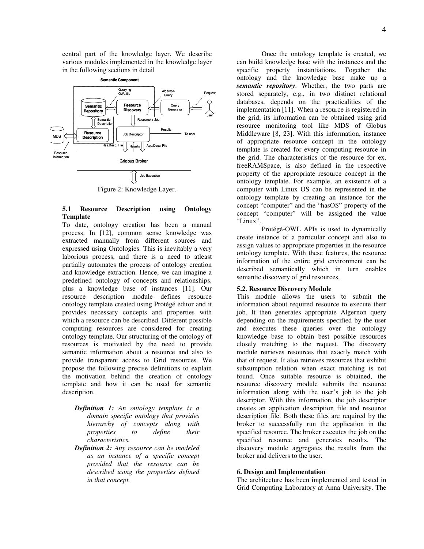central part of the knowledge layer. We describe various modules implemented in the knowledge layer in the following sections in detail



Figure 2: Knowledge Layer.

## **5.1 Resource Description using Ontology Template**

To date, ontology creation has been a manual process. In [12], common sense knowledge was extracted manually from different sources and expressed using Ontologies. This is inevitably a very laborious process, and there is a need to atleast partially automates the process of ontology creation and knowledge extraction. Hence, we can imagine a predefined ontology of concepts and relationships, plus a knowledge base of instances [11]. Our resource description module defines resource ontology template created using Protégé editor and it provides necessary concepts and properties with which a resource can be described. Different possible computing resources are considered for creating ontology template. Our structuring of the ontology of resources is motivated by the need to provide semantic information about a resource and also to provide transparent access to Grid resources. We propose the following precise definitions to explain the motivation behind the creation of ontology template and how it can be used for semantic description.

- *Definition 1: An ontology template is a domain specific ontology that provides hierarchy of concepts along with properties to define their characteristics.*
- *Definition 2: Any resource can be modeled as an instance of a specific concept provided that the resource can be described using the properties defined in that concept.*

 Once the ontology template is created, we can build knowledge base with the instances and the specific property instantiations. Together the ontology and the knowledge base make up a *semantic repository*. Whether, the two parts are stored separately, e.g., in two distinct relational databases, depends on the practicalities of the implementation [11]. When a resource is registered in the grid, its information can be obtained using grid resource monitoring tool like MDS of Globus Middleware [8, 23]. With this information, instance of appropriate resource concept in the ontology template is created for every computing resource in the grid. The characteristics of the resource for ex, freeRAMSpace, is also defined in the respective property of the appropriate resource concept in the ontology template. For example, an existence of a computer with Linux OS can be represented in the ontology template by creating an instance for the concept "computer" and the "hasOS" property of the concept "computer" will be assigned the value "Linux".

 Protégé-OWL APIs is used to dynamically create instance of a particular concept and also to assign values to appropriate properties in the resource ontology template. With these features, the resource information of the entire grid environment can be described semantically which in turn enables semantic discovery of grid resources.

## **5.2. Resource Discovery Module**

This module allows the users to submit the information about required resource to execute their job. It then generates appropriate Algernon query depending on the requirements specified by the user and executes these queries over the ontology knowledge base to obtain best possible resources closely matching to the request. The discovery module retrieves resources that exactly match with that of request. It also retrieves resources that exhibit subsumption relation when exact matching is not found. Once suitable resource is obtained, the resource discovery module submits the resource information along with the user's job to the job descriptor. With this information, the job descriptor creates an application description file and resource description file. Both these files are required by the broker to successfully run the application in the specified resource. The broker executes the job on the specified resource and generates results. The discovery module aggregates the results from the broker and delivers to the user.

### **6. Design and Implementation**

The architecture has been implemented and tested in Grid Computing Laboratory at Anna University. The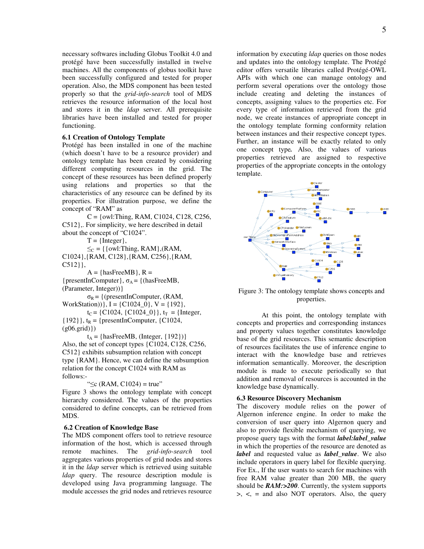necessary softwares including Globus Toolkit 4.0 and protégé have been successfully installed in twelve machines. All the components of globus toolkit have been successfully configured and tested for proper operation. Also, the MDS component has been tested properly so that the *grid-info-search* tool of MDS retrieves the resource information of the local host and stores it in the *ldap* server. All prerequisite libraries have been installed and tested for proper functioning.

# **6.1 Creation of Ontology Template**

Protégé has been installed in one of the machine (which doesn't have to be a resource provider) and ontology template has been created by considering different computing resources in the grid. The concept of these resources has been defined properly using relations and properties so that the characteristics of any resource can be defined by its properties. For illustration purpose, we define the concept of "RAM" as

C = {owl:Thing, RAM, C1024, C128, C256, C512},. For simplicity, we here described in detail about the concept of "C1024".

 $T = \{Integer\},\$ 

 $\leq_C$  = {{owl:Thing, RAM}, (RAM, C1024},{RAM, C128},{RAM, C256},{RAM, C512}},

 $A = \{hasFreeMB\}, R =$ {presentInComputer},  $\sigma_A$  = {(hasFreeMB, (Parameter, Integer))}

 $\sigma_R$  = {(presentInComputer, (RAM, WorkStation)), I = {C1024\_0}, V = {192},

 $t_C = \{C1024, \{C1024\_0\}\}, t_T = \{Integer,$  ${192}$ ,  $t_R$  = {presentInComputer, {C1024,  $(g06.\text{grid})\})$ 

 $t_A = {\text{hasFreeMB}, (\text{Integer}, \{192\})}$ Also, the set of concept types {C1024, C128, C256, C512} exhibits subsumption relation with concept type {RAM}. Hence, we can define the subsumption relation for the concept C1024 with RAM as follows:-

" $\leq c$  (RAM, C1024) = true"

Figure 3 shows the ontology template with concept hierarchy considered. The values of the properties considered to define concepts, can be retrieved from MDS.

#### **6.2 Creation of Knowledge Base**

The MDS component offers tool to retrieve resource information of the host, which is accessed through remote machines. The *grid-info-search* tool aggregates various properties of grid nodes and stores it in the *ldap* server which is retrieved using suitable *ldap* query. The resource description module is developed using Java programming language. The module accesses the grid nodes and retrieves resource information by executing *ldap* queries on those nodes and updates into the ontology template. The Protégé editor offers versatile libraries called Protégé-OWL APIs with which one can manage ontology and perform several operations over the ontology those include creating and deleting the instances of concepts, assigning values to the properties etc. For every type of information retrieved from the grid node, we create instances of appropriate concept in the ontology template forming conformity relation between instances and their respective concept types. Further, an instance will be exactly related to only one concept type*.* Also, the values of various properties retrieved are assigned to respective properties of the appropriate concepts in the ontology template.



Figure 3: The ontology template shows concepts and properties.

 At this point, the ontology template with concepts and properties and corresponding instances and property values together constitutes knowledge base of the grid resources. This semantic description of resources facilitates the use of inference engine to interact with the knowledge base and retrieves information semantically. Moreover, the description module is made to execute periodically so that addition and removal of resources is accounted in the knowledge base dynamically.

## **6.3 Resource Discovery Mechanism**

The discovery module relies on the power of Algernon inference engine. In order to make the conversion of user query into Algernon query and also to provide flexible mechanism of querying, we propose query tags with the format *label:label\_value* in which the properties of the resource are denoted as *label* and requested value as *label\_value*. We also include operators in query label for flexible querying. For Ex., If the user wants to search for machines with free RAM value greater than 200 MB, the query should be *RAM:>200*. Currently, the system supports  $\ge$ ,  $\lt$ , = and also NOT operators. Also, the query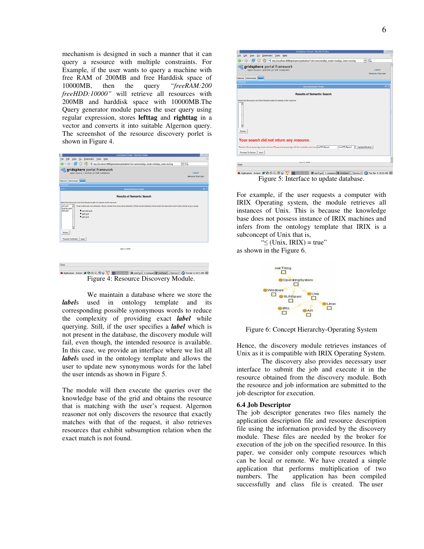mechanism is designed in such a manner that it can query a resource with multiple constraints. For Example, if the user wants to query a machine with free RAM of 200MB and free Harddisk space of 10000MB, then the query *"freeRAM:200 freeHDD:10000"* will retrieve all resources with 200MB and harddisk space with 10000MB.The Query generator module parses the user query using regular expression, stores **lefttag** and **righttag** in a vector and converts it into suitable Algernon query. The screenshot of the resource discovery porlet is shown in Figure 4.

| ⊻<br><b>GridSphere Portal - Mozilla Firefox</b>                                                                                                                                                                                                                                                                                                                                                                          | $  B $ x |
|--------------------------------------------------------------------------------------------------------------------------------------------------------------------------------------------------------------------------------------------------------------------------------------------------------------------------------------------------------------------------------------------------------------------------|----------|
| Edit<br>View<br>Bookmarks Tools Help<br>File<br>Go                                                                                                                                                                                                                                                                                                                                                                       | o        |
| $\sqrt{a}$<br>$\cdot \Rightarrow \cdot$<br>M.<br>РЧ<br><b>C3</b><br><sup>6</sup> http://localhost:8080/gridsphere/gridsphere?cid=zoneclock&gs_mode=view&gs_state=resizing                                                                                                                                                                                                                                                |          |
| gridsphere portal framework<br>open-source / portlet jsr168 compliant<br>Logout<br>Welcome, Root User                                                                                                                                                                                                                                                                                                                    |          |
| Weicone Administration Broker<br>Time Zone                                                                                                                                                                                                                                                                                                                                                                               |          |
| 22<br><b>SemanticBroker Portiet</b>                                                                                                                                                                                                                                                                                                                                                                                      | $\Box$   |
| <b>Results of Semantic Search</b>                                                                                                                                                                                                                                                                                                                                                                                        |          |
| Select the Besource and Click Details button for details of the machine<br>$\hat{\phantom{a}}$<br>g03.grid<br>Exact match was not obtained. Hence, similar resources were retrieved. Of the results retrieved, these were the resources which were similar to your query;<br>gcluster.grid<br>g05.grid<br>· goluster.grid<br>g05.grid<br>$q$ 03.grid<br>$\overline{\phantom{0}}$<br>Details<br>Proceed To Broker<br>back |          |
| April 4, 2006                                                                                                                                                                                                                                                                                                                                                                                                            |          |
| Done                                                                                                                                                                                                                                                                                                                                                                                                                     |          |
| ● Applications Actions 日号卷载题合义 IDI<br>Tue Apr 4, 10:11 AM (1)<br>n:<br>$\mathbf{D}^* = \ldots = \mathbf{A} \cdot \mathbf{D}$ .<br><b>MA</b> 1                                                                                                                                                                                                                                                                            |          |

Figure 4: Resource Discovery Module.

We maintain a database where we store the *labels* used in ontology template and its used in ontology template and its corresponding possible synonymous words to reduce the complexity of providing exact *label* while querying. Still, if the user specifies a *label* which is not present in the database, the discovery module will fail, even though, the intended resource is available. In this case, we provide an interface where we list all *label*s used in the ontology template and allows the user to update new synonymous words for the label the user intends as shown in Figure 5.

The module will then execute the queries over the knowledge base of the grid and obtains the resource that is matching with the user's request. Algernon reasoner not only discovers the resource that exactly matches with that of the request, it also retrieves resources that exhibit subsumption relation when the exact match is not found.

|                                            | gridsphere portal framework<br>open-source / portlet jsr168 compliant                                                                                                             | Logout<br>Welcome, Root User |
|--------------------------------------------|-----------------------------------------------------------------------------------------------------------------------------------------------------------------------------------|------------------------------|
| Welcome Administration Broker<br>Time Zone |                                                                                                                                                                                   |                              |
| $\sqrt{2}$                                 | <b>Semantic Broker Portlet</b>                                                                                                                                                    | 日日                           |
|                                            | <b>Results of Semantic Search</b>                                                                                                                                                 |                              |
| $\blacktriangle$                           | Select the Resource and Click Details button for details of the machine                                                                                                           |                              |
|                                            |                                                                                                                                                                                   |                              |
| ≂                                          |                                                                                                                                                                                   |                              |
|                                            | Your search did not return any resource.<br>: hasCPUSpeed - Update Wordnet<br>Reason: Some query tags were unknown.Please map query tags with the available resources, myCPUSpeed |                              |
| Details<br>Proceed To Broker<br>back       |                                                                                                                                                                                   |                              |

Figure 5: Interface to update database.

For example, if the user requests a computer with IRIX Operating system, the module retrieves all instances of Unix. This is because the knowledge base does not possess instance of IRIX machines and infers from the ontology template that IRIX is a subconcept of Unix that is,

" $\leq$  (Unix, IRIX) = true" as shown in the Figure 6.



Figure 6: Concept Hierarchy-Operating System

Hence, the discovery module retrieves instances of Unix as it is compatible with IRIX Operating System.

 The discovery also provides necessary user interface to submit the job and execute it in the resource obtained from the discovery module. Both the resource and job information are submitted to the job descriptor for execution.

## **6.4 Job Descriptor**

The job descriptor generates two files namely the application description file and resource description file using the information provided by the discovery module. These files are needed by the broker for execution of the job on the specified resource. In this paper, we consider only compute resources which can be local or remote. We have created a simple application that performs multiplication of two numbers. The application has been compiled successfully and class file is created. The user

**Technol**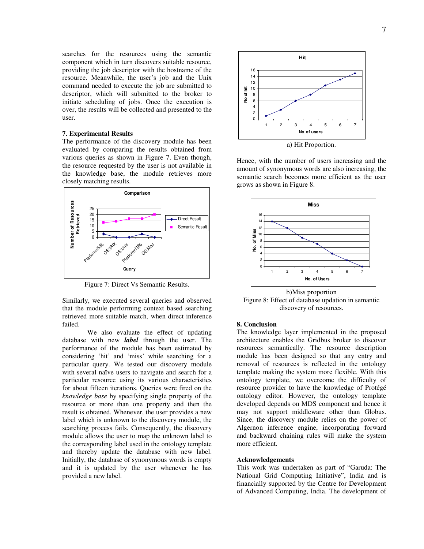searches for the resources using the semantic component which in turn discovers suitable resource, providing the job descriptor with the hostname of the resource. Meanwhile, the user's job and the Unix command needed to execute the job are submitted to descriptor, which will submitted to the broker to initiate scheduling of jobs. Once the execution is over, the results will be collected and presented to the user.

# **7. Experimental Results**

The performance of the discovery module has been evaluated by comparing the results obtained from various queries as shown in Figure 7. Even though, the resource requested by the user is not available in the knowledge base, the module retrieves more closely matching results.



Figure 7: Direct Vs Semantic Results.

Similarly, we executed several queries and observed that the module performing context based searching retrieved more suitable match, when direct inference failed.

 We also evaluate the effect of updating database with new *label* through the user. The performance of the module has been estimated by considering 'hit' and 'miss' while searching for a particular query. We tested our discovery module with several naïve users to navigate and search for a particular resource using its various characteristics for about fifteen iterations. Queries were fired on the *knowledge base* by specifying single property of the resource or more than one property and then the result is obtained. Whenever, the user provides a new label which is unknown to the discovery module, the searching process fails. Consequently, the discovery module allows the user to map the unknown label to the corresponding label used in the ontology template and thereby update the database with new label. Initially, the database of synonymous words is empty and it is updated by the user whenever he has provided a new label.



Hence, with the number of users increasing and the amount of synonymous words are also increasing, the semantic search becomes more efficient as the user grows as shown in Figure 8.



Figure 8: Effect of database updation in semantic discovery of resources.

# **8. Conclusion**

The knowledge layer implemented in the proposed architecture enables the Gridbus broker to discover resources semantically. The resource description module has been designed so that any entry and removal of resources is reflected in the ontology template making the system more flexible. With this ontology template, we overcome the difficulty of resource provider to have the knowledge of Protégé ontology editor. However, the ontology template developed depends on MDS component and hence it may not support middleware other than Globus. Since, the discovery module relies on the power of Algernon inference engine, incorporating forward and backward chaining rules will make the system more efficient.

#### **Acknowledgements**

This work was undertaken as part of "Garuda: The National Grid Computing Initiative", India and is financially supported by the Centre for Development of Advanced Computing, India. The development of